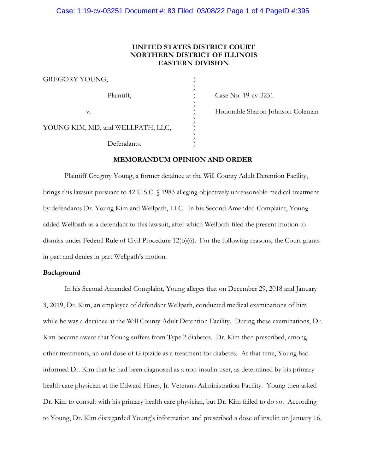## **UNITED STATES DISTRICT COURT NORTHERN DISTRICT OF ILLINOIS EASTERN DIVISION**

)

GREGORY YOUNG,  $\overline{\phantom{a}}$ Plaintiff,  $\qquad \qquad$  (ase No. 19-cv-3251)  $)$ YOUNG KIM, MD, and WELLPATH, LLC,  $\overline{\phantom{a}}$ Defendants.

v. (a) Honorable Sharon Johnson Coleman

**MEMORANDUM OPINION AND ORDER**

Plaintiff Gregory Young, a former detainee at the Will County Adult Detention Facility, brings this lawsuit pursuant to 42 U.S.C. § 1983 alleging objectively unreasonable medical treatment by defendants Dr. Young Kim and Wellpath, LLC. In his Second Amended Complaint, Young added Wellpath as a defendant to this lawsuit, after which Wellpath filed the present motion to dismiss under Federal Rule of Civil Procedure 12(b)(6). For the following reasons, the Court grants in part and denies in part Wellpath's motion.

## **Background**

In his Second Amended Complaint, Young alleges that on December 29, 2018 and January 3, 2019, Dr. Kim, an employee of defendant Wellpath, conducted medical examinations of him while he was a detainee at the Will County Adult Detention Facility. During these examinations, Dr. Kim became aware that Young suffers from Type 2 diabetes. Dr. Kim then prescribed, among other treatments, an oral dose of Glipizide as a treatment for diabetes. At that time, Young had informed Dr. Kim that he had been diagnosed as a non-insulin user, as determined by his primary health care physician at the Edward Hines, Jr. Veterans Administration Facility. Young then asked Dr. Kim to consult with his primary health care physician, but Dr. Kim failed to do so. According to Young, Dr. Kim disregarded Young's information and prescribed a dose of insulin on January 16,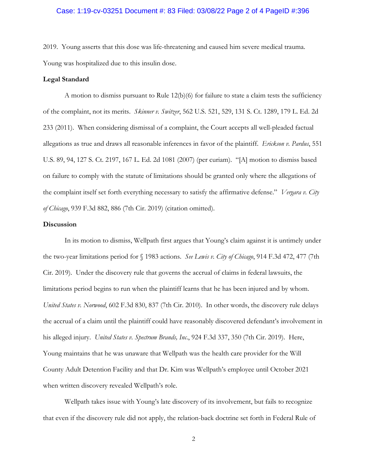## Case: 1:19-cv-03251 Document #: 83 Filed: 03/08/22 Page 2 of 4 PageID #:396

2019. Young asserts that this dose was life-threatening and caused him severe medical trauma. Young was hospitalized due to this insulin dose.

## **Legal Standard**

A motion to dismiss pursuant to Rule 12(b)(6) for failure to state a claim tests the sufficiency of the complaint, not its merits. *Skinner v. Switzer*, 562 U.S. 521, 529, 131 S. Ct. 1289, 179 L. Ed. 2d 233 (2011). When considering dismissal of a complaint, the Court accepts all well-pleaded factual allegations as true and draws all reasonable inferences in favor of the plaintiff. *Erickson v. Pardus*, 551 U.S. 89, 94, 127 S. Ct. 2197, 167 L. Ed. 2d 1081 (2007) (per curiam). "[A] motion to dismiss based on failure to comply with the statute of limitations should be granted only where the allegations of the complaint itself set forth everything necessary to satisfy the affirmative defense." *Vergara v. City of Chicago*, 939 F.3d 882, 886 (7th Cir. 2019) (citation omitted).

## **Discussion**

In its motion to dismiss, Wellpath first argues that Young's claim against it is untimely under the two-year limitations period for § 1983 actions. *See Lewis v. City of Chicago*, 914 F.3d 472, 477 (7th Cir. 2019). Under the discovery rule that governs the accrual of claims in federal lawsuits, the limitations period begins to run when the plaintiff learns that he has been injured and by whom. *United States v. Norwood*, 602 F.3d 830, 837 (7th Cir. 2010). In other words, the discovery rule delays the accrual of a claim until the plaintiff could have reasonably discovered defendant's involvement in his alleged injury. *United States v. Spectrum Brands, Inc*., 924 F.3d 337, 350 (7th Cir. 2019). Here, Young maintains that he was unaware that Wellpath was the health care provider for the Will County Adult Detention Facility and that Dr. Kim was Wellpath's employee until October 2021 when written discovery revealed Wellpath's role.

Wellpath takes issue with Young's late discovery of its involvement, but fails to recognize that even if the discovery rule did not apply, the relation-back doctrine set forth in Federal Rule of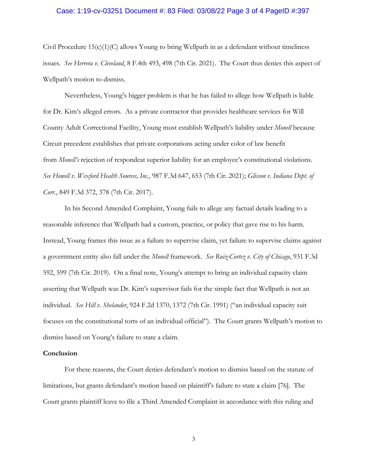### Case: 1:19-cv-03251 Document #: 83 Filed: 03/08/22 Page 3 of 4 PageID #:397

Civil Procedure  $15(c)(1)(C)$  allows Young to bring Wellpath in as a defendant without timeliness issues. *See Herrera v. Cleveland*, 8 F.4th 493, 498 (7th Cir. 2021). The Court thus denies this aspect of Wellpath's motion to dismiss.

Nevertheless, Young's bigger problem is that he has failed to allege how Wellpath is liable for Dr. Kim's alleged errors. As a private contractor that provides healthcare services for Will County Adult Correctional Facility, Young must establish Wellpath's liability under *Monell* because Circuit precedent establishes that private corporations acting under color of law benefit from *Monell's* rejection of respondeat superior liability for an employee's constitutional violations. *See Howell v. Wexford Health Sources, Inc.*, 987 F.3d 647, 653 (7th Cir. 2021); *Glisson v. Indiana Dept. of Corr.*, 849 F.3d 372, 378 (7th Cir. 2017).

In his Second Amended Complaint, Young fails to allege any factual details leading to a reasonable inference that Wellpath had a custom, practice, or policy that gave rise to his harm. Instead, Young frames this issue as a failure to supervise claim, yet failure to supervise claims against a government entity also fall under the *Monell* framework. *See Ruiz-Cortez v. City of Chicago*, 931 F.3d 592, 599 (7th Cir. 2019). On a final note, Young's attempt to bring an individual capacity claim asserting that Wellpath was Dr. Kim's supervisor fails for the simple fact that Wellpath is not an individual. *See Hill v. Shelander*, 924 F.2d 1370, 1372 (7th Cir. 1991) ("an individual capacity suit focuses on the constitutional torts of an individual official"). The Court grants Wellpath's motion to dismiss based on Young's failure to state a claim.

#### **Conclusion**

For these reasons, the Court denies defendant's motion to dismiss based on the statute of limitations, but grants defendant's motion based on plaintiff's failure to state a claim [76]. The Court grants plaintiff leave to file a Third Amended Complaint in accordance with this ruling and